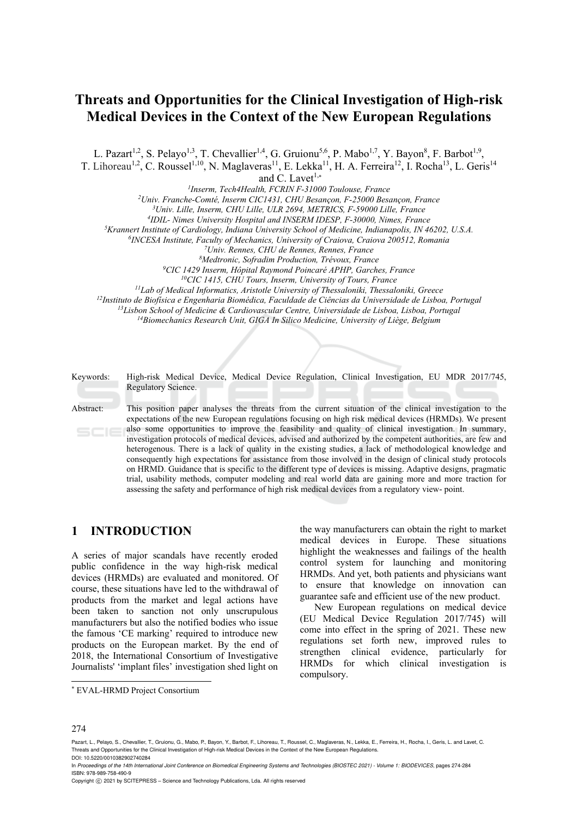# **Threats and Opportunities for the Clinical Investigation of High-risk Medical Devices in the Context of the New European Regulations**

L. Pazart<sup>1,2</sup>, S. Pelayo<sup>1,3</sup>, T. Chevallier<sup>1,4</sup>, G. Gruionu<sup>5,6</sup>, P. Mabo<sup>1,7</sup>, Y. Bayon<sup>8</sup>, F. Barbot<sup>1,9</sup>,

T. Lihoreau<sup>1,2</sup>, C. Roussel<sup>1,10</sup>, N. Maglaveras<sup>11</sup>, E. Lekka<sup>11</sup>, H. A. Ferreira<sup>12</sup>, I. Rocha<sup>13</sup>, L. Geris<sup>14</sup>

and C. Lavet<sup>1,\*</sup><br><sup>1</sup>Inserm, Tech4Health, FCRIN F-31000 Toulouse, France *1Inserm, Tech4Health, FCRIN F-31000 Toulouse, France 2*

*Univ. Franche-Comté, Inserm CIC1431, CHU Besançon, F-25000 Besançon, France 3*

<sup>3</sup> Univ. Lille, Inserm, CHU Lille, ULR 2694, METRICS, F-59000 Lille, France <sup>4</sup>IDIL- Nimes University Hospital and INSERM IDESP, F-30000, Nimes, France

<sup>4</sup>IDIL- Nimes University Hospital and INSERM IDESP, F-30000, Nimes, France<br><sup>5</sup>Krannert Institute of Cardiology, Indiana University School of Medicine, Indianapolis, IN 46202, U.S.A.<br><sup>6</sup>INCESA Institute, Faculty of Mechan

Keywords: High-risk Medical Device, Medical Device Regulation, Clinical Investigation, EU MDR 2017/745, Regulatory Science.

Abstract: This position paper analyses the threats from the current situation of the clinical investigation to the expectations of the new European regulations focusing on high risk medical devices (HRMDs). We present also some opportunities to improve the feasibility and quality of clinical investigation. In summary, investigation protocols of medical devices, advised and authorized by the competent authorities, are few and heterogenous. There is a lack of quality in the existing studies, a lack of methodological knowledge and consequently high expectations for assistance from those involved in the design of clinical study protocols on HRMD. Guidance that is specific to the different type of devices is missing. Adaptive designs, pragmatic trial, usability methods, computer modeling and real world data are gaining more and more traction for assessing the safety and performance of high risk medical devices from a regulatory view- point.

### **1 INTRODUCTION**

A series of major scandals have recently eroded public confidence in the way high-risk medical devices (HRMDs) are evaluated and monitored. Of course, these situations have led to the withdrawal of products from the market and legal actions have been taken to sanction not only unscrupulous manufacturers but also the notified bodies who issue the famous 'CE marking' required to introduce new products on the European market. By the end of 2018, the International Consortium of Investigative Journalists' 'implant files' investigation shed light on

the way manufacturers can obtain the right to market medical devices in Europe. These situations highlight the weaknesses and failings of the health control system for launching and monitoring HRMDs. And yet, both patients and physicians want to ensure that knowledge on innovation can guarantee safe and efficient use of the new product.

New European regulations on medical device (EU Medical Device Regulation 2017/745) will come into effect in the spring of 2021. These new regulations set forth new, improved rules to strengthen clinical evidence, particularly for HRMDs for which clinical investigation is compulsory.

 $\overline{a}$ 

<sup>\*</sup> EVAL-HRMD Project Consortium

Pazart, L., Pelayo, S., Chevallier, T., Gruionu, G., Mabo, P., Bayon, Y., Barbot, F., Lihoreau, T., Roussel, C., Maglaveras, N., Lekka, E., Ferreira, H., Rocha, I., Geris, L. and Lavet, C. Threats and Opportunities for the Clinical Investigation of High-risk Medical Devices in the Context of the New European Regulations. DOI: 10.5220/0010382902740284

In *Proceedings of the 14th International Joint Conference on Biomedical Engineering Systems and Technologies (BIOSTEC 2021) - Volume 1: BIODEVICES*, pages 274-284 ISBN: 978-989-758-490-9

Copyright  $©$  2021 by SCITEPRESS - Science and Technology Publications, Lda. All rights reserved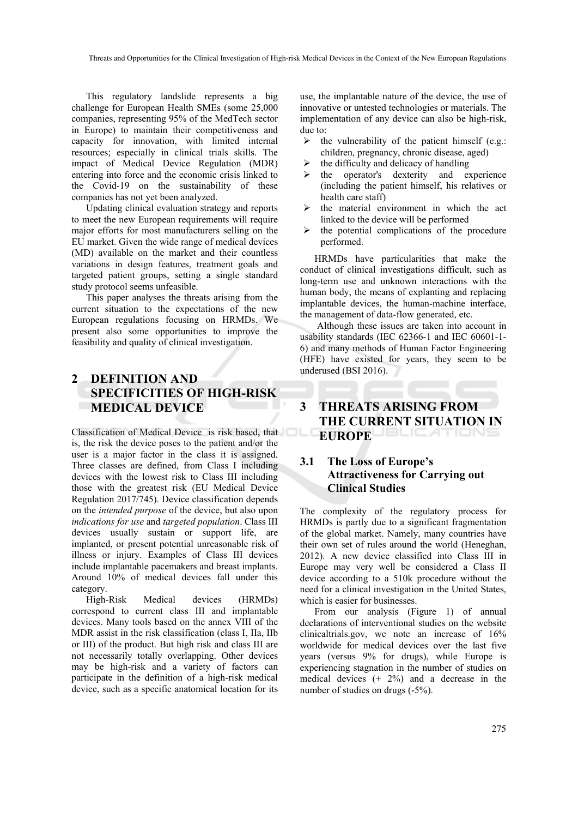This regulatory landslide represents a big challenge for European Health SMEs (some 25,000 companies, representing 95% of the MedTech sector in Europe) to maintain their competitiveness and capacity for innovation, with limited internal resources; especially in clinical trials skills. The impact of Medical Device Regulation (MDR) entering into force and the economic crisis linked to the Covid-19 on the sustainability of these companies has not yet been analyzed.

Updating clinical evaluation strategy and reports to meet the new European requirements will require major efforts for most manufacturers selling on the EU market. Given the wide range of medical devices (MD) available on the market and their countless variations in design features, treatment goals and targeted patient groups, setting a single standard study protocol seems unfeasible.

This paper analyses the threats arising from the current situation to the expectations of the new European regulations focusing on HRMDs. We present also some opportunities to improve the feasibility and quality of clinical investigation.

## **2 DEFINITION AND SPECIFICITIES OF HIGH-RISK MEDICAL DEVICE**

Classification of Medical Device is risk based, that is, the risk the device poses to the patient and/or the user is a major factor in the class it is assigned. Three classes are defined, from Class I including devices with the lowest risk to Class III including those with the greatest risk (EU Medical Device Regulation 2017/745). Device classification depends on the *intended purpose* of the device, but also upon *indications for use* and *targeted population*. Class III devices usually sustain or support life, are implanted, or present potential unreasonable risk of illness or injury. Examples of Class III devices include implantable pacemakers and breast implants. Around 10% of medical devices fall under this category.

High-Risk Medical devices (HRMDs) correspond to current class III and implantable devices. Many tools based on the annex VIII of the MDR assist in the risk classification (class I, IIa, IIb or III) of the product. But high risk and class III are not necessarily totally overlapping. Other devices may be high-risk and a variety of factors can participate in the definition of a high-risk medical device, such as a specific anatomical location for its use, the implantable nature of the device, the use of innovative or untested technologies or materials. The implementation of any device can also be high-risk, due to:

- $\triangleright$  the vulnerability of the patient himself (e.g.: children, pregnancy, chronic disease, aged)
- $\triangleright$  the difficulty and delicacy of handling
- $\triangleright$  the operator's dexterity and experience (including the patient himself, his relatives or health care staff)
- $\triangleright$  the material environment in which the act linked to the device will be performed
- $\triangleright$  the potential complications of the procedure performed.

HRMDs have particularities that make the conduct of clinical investigations difficult, such as long-term use and unknown interactions with the human body, the means of explanting and replacing implantable devices, the human-machine interface, the management of data-flow generated, etc.

 Although these issues are taken into account in usability standards (IEC 62366-1 and IEC 60601-1- 6) and many methods of Human Factor Engineering (HFE) have existed for years, they seem to be underused (BSI 2016).

## **3 THREATS ARISING FROM THE CURRENT SITUATION IN EUROPE**

#### **3.1 The Loss of Europe's Attractiveness for Carrying out Clinical Studies**

The complexity of the regulatory process for HRMDs is partly due to a significant fragmentation of the global market. Namely, many countries have their own set of rules around the world (Heneghan, 2012). A new device classified into Class III in Europe may very well be considered a Class II device according to a 510k procedure without the need for a clinical investigation in the United States, which is easier for businesses.

From our analysis (Figure 1) of annual declarations of interventional studies on the website clinicaltrials.gov, we note an increase of 16% worldwide for medical devices over the last five years (versus 9% for drugs), while Europe is experiencing stagnation in the number of studies on medical devices  $(+ 2\%)$  and a decrease in the number of studies on drugs (-5%).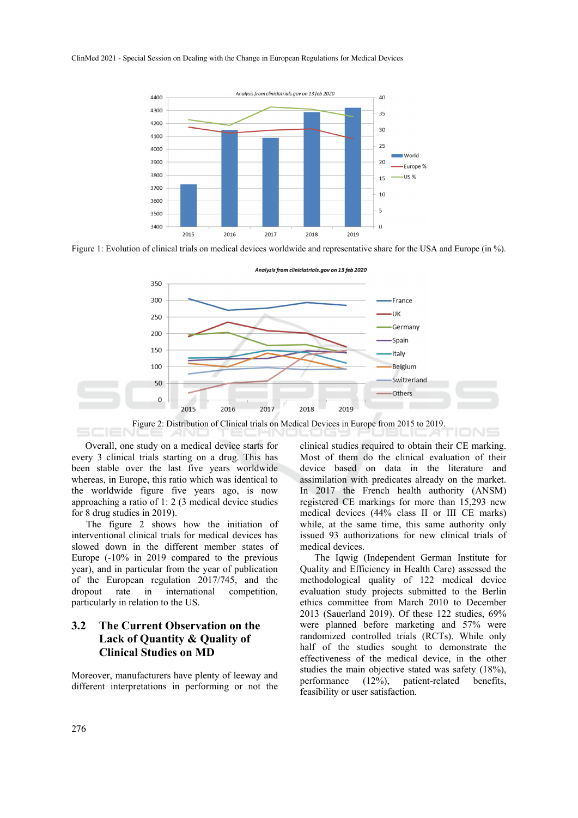#### ClinMed 2021 - Special Session on Dealing with the Change in European Regulations for Medical Devices



Figure 1: Evolution of clinical trials on medical devices worldwide and representative share for the USA and Europe (in %).



Overall, one study on a medical device starts for every 3 clinical trials starting on a drug. This has been stable over the last five years worldwide whereas, in Europe, this ratio which was identical to the worldwide figure five years ago, is now approaching a ratio of 1: 2 (3 medical device studies for 8 drug studies in 2019).

The figure 2 shows how the initiation of interventional clinical trials for medical devices has slowed down in the different member states of Europe (-10% in 2019 compared to the previous year), and in particular from the year of publication of the European regulation 2017/745, and the dropout rate in international competition, particularly in relation to the US.

#### **3.2 The Current Observation on the Lack of Quantity & Quality of Clinical Studies on MD**

Moreover, manufacturers have plenty of leeway and different interpretations in performing or not the clinical studies required to obtain their CE marking. Most of them do the clinical evaluation of their device based on data in the literature and assimilation with predicates already on the market. In 2017 the French health authority (ANSM) registered CE markings for more than 15,293 new medical devices (44% class II or III CE marks) while, at the same time, this same authority only issued 93 authorizations for new clinical trials of medical devices.

The Iqwig (Independent German Institute for Quality and Efficiency in Health Care) assessed the methodological quality of 122 medical device evaluation study projects submitted to the Berlin ethics committee from March 2010 to December 2013 (Sauerland 2019). Of these 122 studies, 69% were planned before marketing and 57% were randomized controlled trials (RCTs). While only half of the studies sought to demonstrate the effectiveness of the medical device, in the other studies the main objective stated was safety (18%), performance (12%), patient-related benefits, feasibility or user satisfaction.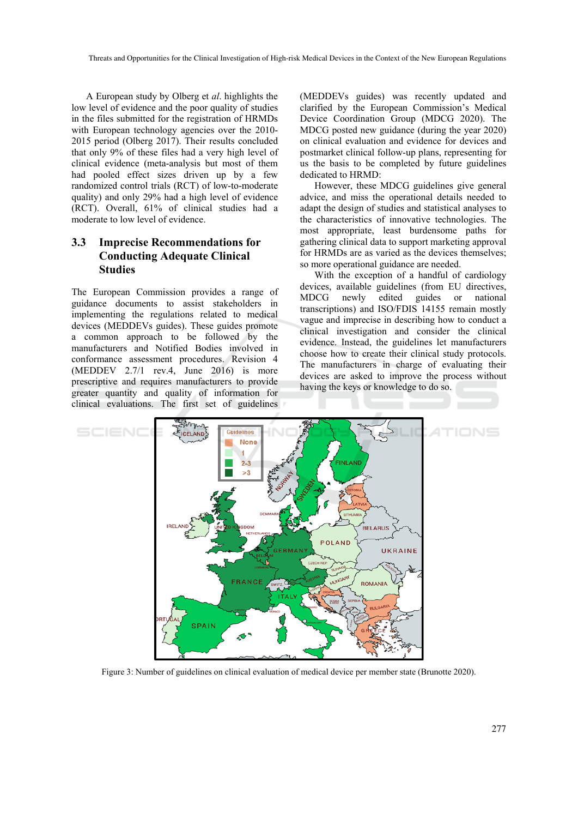A European study by Olberg et *al*. highlights the low level of evidence and the poor quality of studies in the files submitted for the registration of HRMDs with European technology agencies over the 2010- 2015 period (Olberg 2017). Their results concluded that only 9% of these files had a very high level of clinical evidence (meta-analysis but most of them had pooled effect sizes driven up by a few randomized control trials (RCT) of low-to-moderate quality) and only 29% had a high level of evidence (RCT). Overall, 61% of clinical studies had a moderate to low level of evidence.

#### **3.3 Imprecise Recommendations for Conducting Adequate Clinical Studies**

The European Commission provides a range of guidance documents to assist stakeholders in implementing the regulations related to medical devices (MEDDEVs guides). These guides promote a common approach to be followed by the manufacturers and Notified Bodies involved in conformance assessment procedures. Revision 4 (MEDDEV 2.7/1 rev.4, June 2016) is more prescriptive and requires manufacturers to provide greater quantity and quality of information for clinical evaluations. The first set of guidelines

(MEDDEVs guides) was recently updated and clarified by the European Commission's Medical Device Coordination Group (MDCG 2020). The MDCG posted new guidance (during the year 2020) on clinical evaluation and evidence for devices and postmarket clinical follow-up plans, representing for us the basis to be completed by future guidelines dedicated to HRMD:

However, these MDCG guidelines give general advice, and miss the operational details needed to adapt the design of studies and statistical analyses to the characteristics of innovative technologies. The most appropriate, least burdensome paths for gathering clinical data to support marketing approval for HRMDs are as varied as the devices themselves; so more operational guidance are needed.

With the exception of a handful of cardiology devices, available guidelines (from EU directives, MDCG newly edited guides or national transcriptions) and ISO/FDIS 14155 remain mostly vague and imprecise in describing how to conduct a clinical investigation and consider the clinical evidence. Instead, the guidelines let manufacturers choose how to create their clinical study protocols. The manufacturers in charge of evaluating their devices are asked to improve the process without having the keys or knowledge to do so.



Figure 3: Number of guidelines on clinical evaluation of medical device per member state (Brunotte 2020).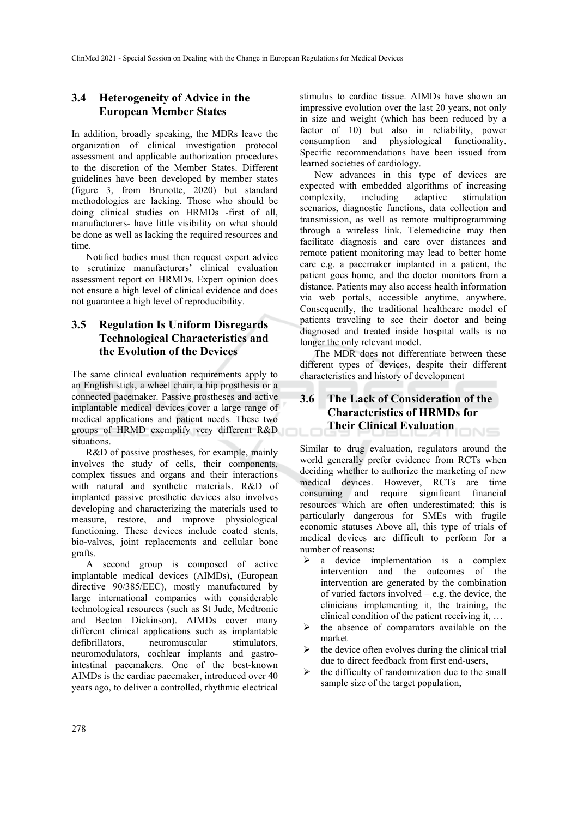#### **3.4 Heterogeneity of Advice in the European Member States**

In addition, broadly speaking, the MDRs leave the organization of clinical investigation protocol assessment and applicable authorization procedures to the discretion of the Member States. Different guidelines have been developed by member states (figure 3, from Brunotte, 2020) but standard methodologies are lacking. Those who should be doing clinical studies on HRMDs -first of all, manufacturers- have little visibility on what should be done as well as lacking the required resources and time.

Notified bodies must then request expert advice to scrutinize manufacturers' clinical evaluation assessment report on HRMDs. Expert opinion does not ensure a high level of clinical evidence and does not guarantee a high level of reproducibility.

### **3.5 Regulation Is Uniform Disregards Technological Characteristics and the Evolution of the Devices**

The same clinical evaluation requirements apply to an English stick, a wheel chair, a hip prosthesis or a connected pacemaker. Passive prostheses and active implantable medical devices cover a large range of medical applications and patient needs. These two groups of HRMD exemplify very different R&D situations.

R&D of passive prostheses, for example, mainly involves the study of cells, their components, complex tissues and organs and their interactions with natural and synthetic materials. R&D of implanted passive prosthetic devices also involves developing and characterizing the materials used to measure, restore, and improve physiological functioning. These devices include coated stents, bio-valves, joint replacements and cellular bone grafts.

A second group is composed of active implantable medical devices (AIMDs), (European directive 90/385/EEC), mostly manufactured by large international companies with considerable technological resources (such as St Jude, Medtronic and Becton Dickinson). AIMDs cover many different clinical applications such as implantable defibrillators, neuromuscular stimulators, neuromodulators, cochlear implants and gastrointestinal pacemakers. One of the best-known AIMDs is the cardiac pacemaker, introduced over 40 years ago, to deliver a controlled, rhythmic electrical

stimulus to cardiac tissue. AIMDs have shown an impressive evolution over the last 20 years, not only in size and weight (which has been reduced by a factor of 10) but also in reliability, power consumption and physiological functionality. Specific recommendations have been issued from learned societies of cardiology.

New advances in this type of devices are expected with embedded algorithms of increasing complexity, including adaptive stimulation scenarios, diagnostic functions, data collection and transmission, as well as remote multiprogramming through a wireless link. Telemedicine may then facilitate diagnosis and care over distances and remote patient monitoring may lead to better home care e.g. a pacemaker implanted in a patient, the patient goes home, and the doctor monitors from a distance. Patients may also access health information via web portals, accessible anytime, anywhere. Consequently, the traditional healthcare model of patients traveling to see their doctor and being diagnosed and treated inside hospital walls is no longer the only relevant model.

The MDR does not differentiate between these different types of devices, despite their different characteristics and history of development

#### **3.6 The Lack of Consideration of the Characteristics of HRMDs for Their Clinical Evaluation**   $N =$

Similar to drug evaluation, regulators around the world generally prefer evidence from RCTs when deciding whether to authorize the marketing of new medical devices. However, RCTs are time consuming and require significant financial resources which are often underestimated; this is particularly dangerous for SMEs with fragile economic statuses Above all, this type of trials of medical devices are difficult to perform for a number of reasons**:**

- a device implementation is a complex intervention and the outcomes of the intervention are generated by the combination of varied factors involved – e.g. the device, the clinicians implementing it, the training, the clinical condition of the patient receiving it, …
- $\triangleright$  the absence of comparators available on the market
- $\triangleright$  the device often evolves during the clinical trial due to direct feedback from first end-users,
- $\triangleright$  the difficulty of randomization due to the small sample size of the target population,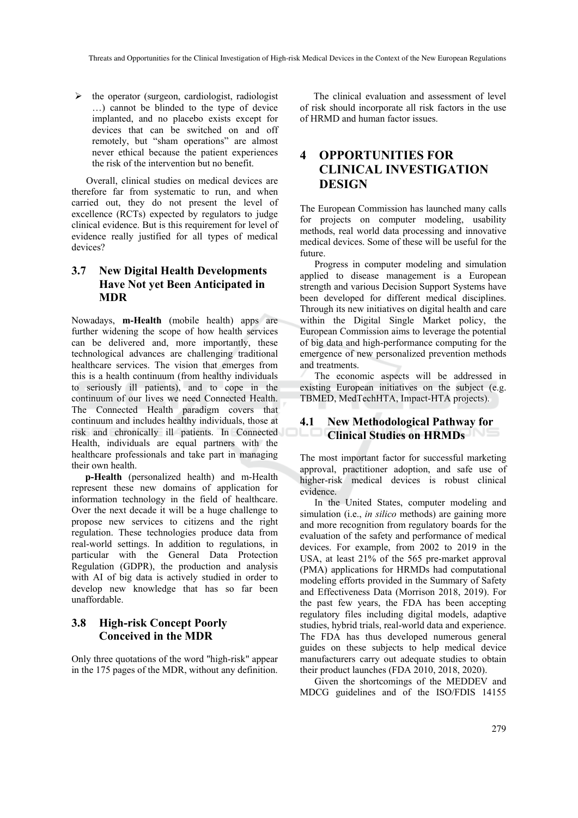$\triangleright$  the operator (surgeon, cardiologist, radiologist …) cannot be blinded to the type of device implanted, and no placebo exists except for devices that can be switched on and off remotely, but "sham operations" are almost never ethical because the patient experiences the risk of the intervention but no benefit.

Overall, clinical studies on medical devices are therefore far from systematic to run, and when carried out, they do not present the level of excellence (RCTs) expected by regulators to judge clinical evidence. But is this requirement for level of evidence really justified for all types of medical devices?

#### **3.7 New Digital Health Developments Have Not yet Been Anticipated in MDR**

Nowadays, **m-Health** (mobile health) apps are further widening the scope of how health services can be delivered and, more importantly, these technological advances are challenging traditional healthcare services. The vision that emerges from this is a health continuum (from healthy individuals to seriously ill patients), and to cope in the continuum of our lives we need Connected Health. The Connected Health paradigm covers that continuum and includes healthy individuals, those at risk and chronically ill patients. In Connected Health, individuals are equal partners with the healthcare professionals and take part in managing their own health.

**p-Health** (personalized health) and m-Health represent these new domains of application for information technology in the field of healthcare. Over the next decade it will be a huge challenge to propose new services to citizens and the right regulation. These technologies produce data from real-world settings. In addition to regulations, in particular with the General Data Protection Regulation (GDPR), the production and analysis with AI of big data is actively studied in order to develop new knowledge that has so far been unaffordable.

#### **3.8 High-risk Concept Poorly Conceived in the MDR**

Only three quotations of the word "high-risk" appear in the 175 pages of the MDR, without any definition.

The clinical evaluation and assessment of level of risk should incorporate all risk factors in the use of HRMD and human factor issues.

## **4 OPPORTUNITIES FOR CLINICAL INVESTIGATION DESIGN**

The European Commission has launched many calls for projects on computer modeling, usability methods, real world data processing and innovative medical devices. Some of these will be useful for the future.

Progress in computer modeling and simulation applied to disease management is a European strength and various Decision Support Systems have been developed for different medical disciplines. Through its new initiatives on digital health and care within the Digital Single Market policy, the European Commission aims to leverage the potential of big data and high-performance computing for the emergence of new personalized prevention methods and treatments.

The economic aspects will be addressed in existing European initiatives on the subject (e.g. TBMED, MedTechHTA, Impact-HTA projects).

#### **4.1 New Methodological Pathway for Clinical Studies on HRMDs**

The most important factor for successful marketing approval, practitioner adoption, and safe use of higher-risk medical devices is robust clinical evidence.

In the United States, computer modeling and simulation (i.e., *in silico* methods) are gaining more and more recognition from regulatory boards for the evaluation of the safety and performance of medical devices. For example, from 2002 to 2019 in the USA, at least 21% of the 565 pre-market approval (PMA) applications for HRMDs had computational modeling efforts provided in the Summary of Safety and Effectiveness Data (Morrison 2018, 2019). For the past few years, the FDA has been accepting regulatory files including digital models, adaptive studies, hybrid trials, real-world data and experience. The FDA has thus developed numerous general guides on these subjects to help medical device manufacturers carry out adequate studies to obtain their product launches (FDA 2010, 2018, 2020).

Given the shortcomings of the MEDDEV and MDCG guidelines and of the ISO/FDIS 14155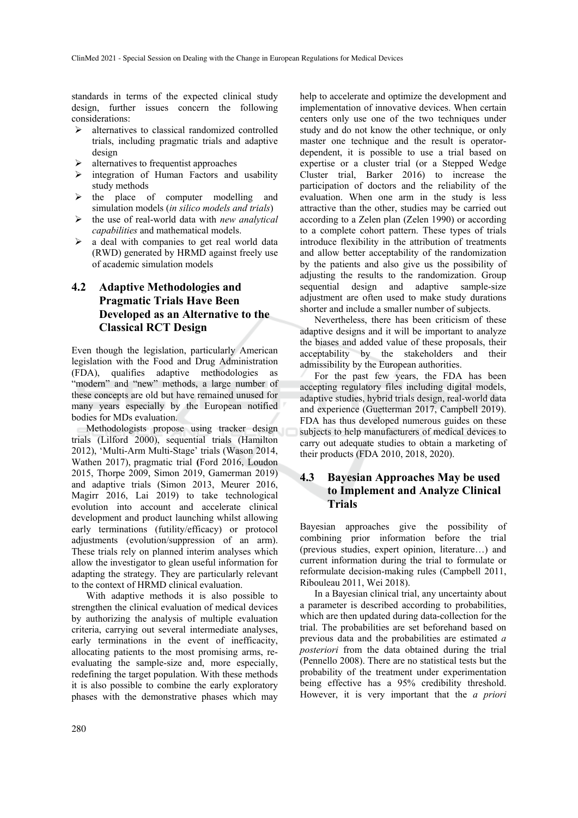standards in terms of the expected clinical study design, further issues concern the following considerations:

- $\triangleright$  alternatives to classical randomized controlled trials, including pragmatic trials and adaptive design
- alternatives to frequentist approaches
- integration of Human Factors and usability study methods
- $\triangleright$  the place of computer modelling and simulation models (*in silico models and trials*)
- the use of real-world data with *new analytical capabilities* and mathematical models.
- $\triangleright$  a deal with companies to get real world data (RWD) generated by HRMD against freely use of academic simulation models

### **4.2 Adaptive Methodologies and Pragmatic Trials Have Been Developed as an Alternative to the Classical RCT Design**

Even though the legislation, particularly American legislation with the Food and Drug Administration (FDA), qualifies adaptive methodologies as "modern" and "new" methods, a large number of these concepts are old but have remained unused for many years especially by the European notified bodies for MDs evaluation.

Methodologists propose using tracker design trials (Lilford 2000), sequential trials (Hamilton 2012), 'Multi-Arm Multi-Stage' trials (Wason 2014, Wathen 2017), pragmatic trial **(**Ford 2016, Loudon 2015, Thorpe 2009, Simon 2019, Gamerman 2019) and adaptive trials (Simon 2013, Meurer 2016, Magirr 2016, Lai 2019) to take technological evolution into account and accelerate clinical development and product launching whilst allowing early terminations (futility/efficacy) or protocol adjustments (evolution/suppression of an arm). These trials rely on planned interim analyses which allow the investigator to glean useful information for adapting the strategy. They are particularly relevant to the context of HRMD clinical evaluation.

With adaptive methods it is also possible to strengthen the clinical evaluation of medical devices by authorizing the analysis of multiple evaluation criteria, carrying out several intermediate analyses, early terminations in the event of inefficacity, allocating patients to the most promising arms, reevaluating the sample-size and, more especially, redefining the target population. With these methods it is also possible to combine the early exploratory phases with the demonstrative phases which may help to accelerate and optimize the development and implementation of innovative devices. When certain centers only use one of the two techniques under study and do not know the other technique, or only master one technique and the result is operatordependent, it is possible to use a trial based on expertise or a cluster trial (or a Stepped Wedge Cluster trial, Barker 2016) to increase the participation of doctors and the reliability of the evaluation. When one arm in the study is less attractive than the other, studies may be carried out according to a Zelen plan (Zelen 1990) or according to a complete cohort pattern. These types of trials introduce flexibility in the attribution of treatments and allow better acceptability of the randomization by the patients and also give us the possibility of adjusting the results to the randomization. Group sequential design and adaptive sample-size adjustment are often used to make study durations shorter and include a smaller number of subjects.

Nevertheless, there has been criticism of these adaptive designs and it will be important to analyze the biases and added value of these proposals, their acceptability by the stakeholders and their admissibility by the European authorities.

For the past few years, the FDA has been accepting regulatory files including digital models, adaptive studies, hybrid trials design, real-world data and experience (Guetterman 2017, Campbell 2019). FDA has thus developed numerous guides on these subjects to help manufacturers of medical devices to carry out adequate studies to obtain a marketing of their products (FDA 2010, 2018, 2020).

#### **4.3 Bayesian Approaches May be used to Implement and Analyze Clinical Trials**

Bayesian approaches give the possibility of combining prior information before the trial (previous studies, expert opinion, literature…) and current information during the trial to formulate or reformulate decision-making rules (Campbell 2011, Ribouleau 2011, Wei 2018).

In a Bayesian clinical trial, any uncertainty about a parameter is described according to probabilities, which are then updated during data-collection for the trial. The probabilities are set beforehand based on previous data and the probabilities are estimated *a posteriori* from the data obtained during the trial (Pennello 2008). There are no statistical tests but the probability of the treatment under experimentation being effective has a 95% credibility threshold. However, it is very important that the *a priori*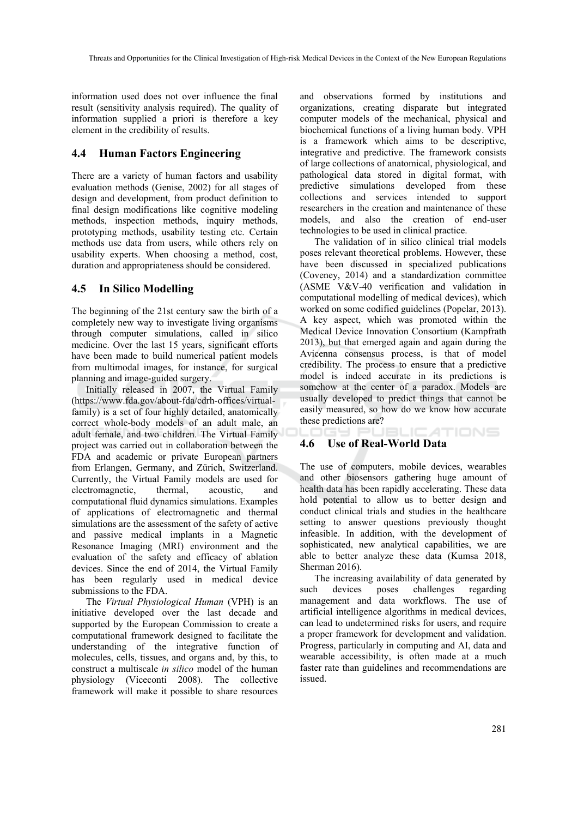information used does not over influence the final result (sensitivity analysis required). The quality of information supplied a priori is therefore a key element in the credibility of results.

#### **4.4 Human Factors Engineering**

There are a variety of human factors and usability evaluation methods (Genise, 2002) for all stages of design and development, from product definition to final design modifications like cognitive modeling methods, inspection methods, inquiry methods, prototyping methods, usability testing etc. Certain methods use data from users, while others rely on usability experts. When choosing a method, cost, duration and appropriateness should be considered.

#### **4.5 In Silico Modelling**

The beginning of the 21st century saw the birth of a completely new way to investigate living organisms through computer simulations, called in silico medicine. Over the last 15 years, significant efforts have been made to build numerical patient models from multimodal images, for instance, for surgical planning and image-guided surgery.

Initially released in 2007, the Virtual Family (https://www.fda.gov/about-fda/cdrh-offices/virtualfamily) is a set of four highly detailed, anatomically correct whole-body models of an adult male, an adult female, and two children. The Virtual Family project was carried out in collaboration between the FDA and academic or private European partners from Erlangen, Germany, and Zürich, Switzerland. Currently, the Virtual Family models are used for electromagnetic, thermal, acoustic, and computational fluid dynamics simulations. Examples of applications of electromagnetic and thermal simulations are the assessment of the safety of active and passive medical implants in a Magnetic Resonance Imaging (MRI) environment and the evaluation of the safety and efficacy of ablation devices. Since the end of 2014, the Virtual Family has been regularly used in medical device submissions to the FDA.

The *Virtual Physiological Human* (VPH) is an initiative developed over the last decade and supported by the European Commission to create a computational framework designed to facilitate the understanding of the integrative function of molecules, cells, tissues, and organs and, by this, to construct a multiscale *in silico* model of the human physiology (Viceconti 2008). The collective framework will make it possible to share resources

and observations formed by institutions and organizations, creating disparate but integrated computer models of the mechanical, physical and biochemical functions of a living human body. VPH is a framework which aims to be descriptive, integrative and predictive. The framework consists of large collections of anatomical, physiological, and pathological data stored in digital format, with predictive simulations developed from these collections and services intended to support researchers in the creation and maintenance of these models, and also the creation of end-user technologies to be used in clinical practice.

The validation of in silico clinical trial models poses relevant theoretical problems. However, these have been discussed in specialized publications (Coveney, 2014) and a standardization committee (ASME V&V-40 verification and validation in computational modelling of medical devices), which worked on some codified guidelines (Popelar, 2013). A key aspect, which was promoted within the Medical Device Innovation Consortium (Kampfrath 2013), but that emerged again and again during the Avicenna consensus process, is that of model credibility. The process to ensure that a predictive model is indeed accurate in its predictions is somehow at the center of a paradox. Models are usually developed to predict things that cannot be easily measured, so how do we know how accurate these predictions are?

#### **4.6 Use of Real-World Data**

The use of computers, mobile devices, wearables and other biosensors gathering huge amount of health data has been rapidly accelerating. These data hold potential to allow us to better design and conduct clinical trials and studies in the healthcare setting to answer questions previously thought infeasible. In addition, with the development of sophisticated, new analytical capabilities, we are able to better analyze these data (Kumsa 2018, Sherman 2016).

**JBLIC ATIONS** 

The increasing availability of data generated by such devices poses challenges regarding management and data workflows. The use of artificial intelligence algorithms in medical devices, can lead to undetermined risks for users, and require a proper framework for development and validation. Progress, particularly in computing and AI, data and wearable accessibility, is often made at a much faster rate than guidelines and recommendations are issued.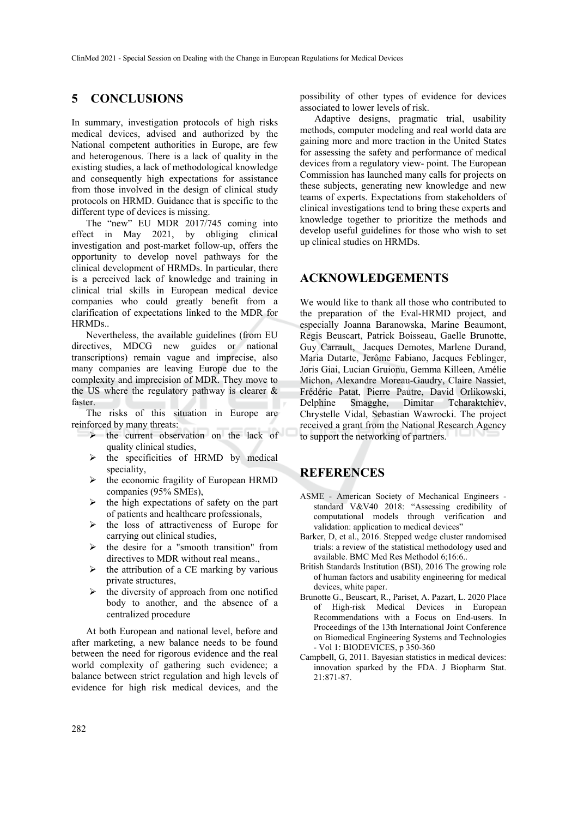#### **5 CONCLUSIONS**

In summary, investigation protocols of high risks medical devices, advised and authorized by the National competent authorities in Europe, are few and heterogenous. There is a lack of quality in the existing studies, a lack of methodological knowledge and consequently high expectations for assistance from those involved in the design of clinical study protocols on HRMD. Guidance that is specific to the different type of devices is missing.

The "new" EU MDR 2017/745 coming into effect in May 2021, by obliging clinical investigation and post-market follow-up, offers the opportunity to develop novel pathways for the clinical development of HRMDs. In particular, there is a perceived lack of knowledge and training in clinical trial skills in European medical device companies who could greatly benefit from a clarification of expectations linked to the MDR for HRMDs..

Nevertheless, the available guidelines (from EU directives, MDCG new guides or national transcriptions) remain vague and imprecise, also many companies are leaving Europe due to the complexity and imprecision of MDR. They move to the US where the regulatory pathway is clearer & faster.

The risks of this situation in Europe are reinforced by many threats:

- $\triangleright$  the current observation on the lack of quality clinical studies,
- the specificities of HRMD by medical speciality,
- $\triangleright$  the economic fragility of European HRMD companies (95% SMEs),
- $\triangleright$  the high expectations of safety on the part of patients and healthcare professionals,
- $\triangleright$  the loss of attractiveness of Europe for carrying out clinical studies,
- $\triangleright$  the desire for a "smooth transition" from directives to MDR without real means.,
- $\triangleright$  the attribution of a CE marking by various private structures,
- $\triangleright$  the diversity of approach from one notified body to another, and the absence of a centralized procedure

At both European and national level, before and after marketing, a new balance needs to be found between the need for rigorous evidence and the real world complexity of gathering such evidence; a balance between strict regulation and high levels of evidence for high risk medical devices, and the possibility of other types of evidence for devices associated to lower levels of risk.

Adaptive designs, pragmatic trial, usability methods, computer modeling and real world data are gaining more and more traction in the United States for assessing the safety and performance of medical devices from a regulatory view- point. The European Commission has launched many calls for projects on these subjects, generating new knowledge and new teams of experts. Expectations from stakeholders of clinical investigations tend to bring these experts and knowledge together to prioritize the methods and develop useful guidelines for those who wish to set up clinical studies on HRMDs.

#### **ACKNOWLEDGEMENTS**

We would like to thank all those who contributed to the preparation of the Eval-HRMD project, and especially Joanna Baranowska, Marine Beaumont, Regis Beuscart, Patrick Boisseau, Gaelle Brunotte, Guy Carrault, Jacques Demotes, Marlene Durand, Maria Dutarte, Jerôme Fabiano, Jacques Feblinger, Joris Giai, Lucian Gruionu, Gemma Killeen, Amélie Michon, Alexandre Moreau-Gaudry, Claire Nassiet, Frédéric Patat, Pierre Pautre, David Orlikowski, Delphine Smagghe, Dimitar Tcharaktchiev, Chrystelle Vidal, Sebastian Wawrocki. The project received a grant from the National Research Agency to support the networking of partners.

### **REFERENCES**

- ASME American Society of Mechanical Engineers standard V&V40 2018: "Assessing credibility of computational models through verification and validation: application to medical devices"
- Barker, D, et al., 2016. Stepped wedge cluster randomised trials: a review of the statistical methodology used and available. BMC Med Res Methodol 6;16:6..
- British Standards Institution (BSI), 2016 The growing role of human factors and usability engineering for medical devices, white paper.
- Brunotte G., Beuscart, R., Pariset, A. Pazart, L. 2020 Place of High-risk Medical Devices in European Recommendations with a Focus on End-users. In Proceedings of the 13th International Joint Conference on Biomedical Engineering Systems and Technologies - Vol 1: BIODEVICES, p 350-360
- Campbell, G, 2011. Bayesian statistics in medical devices: innovation sparked by the FDA. J Biopharm Stat. 21:871-87.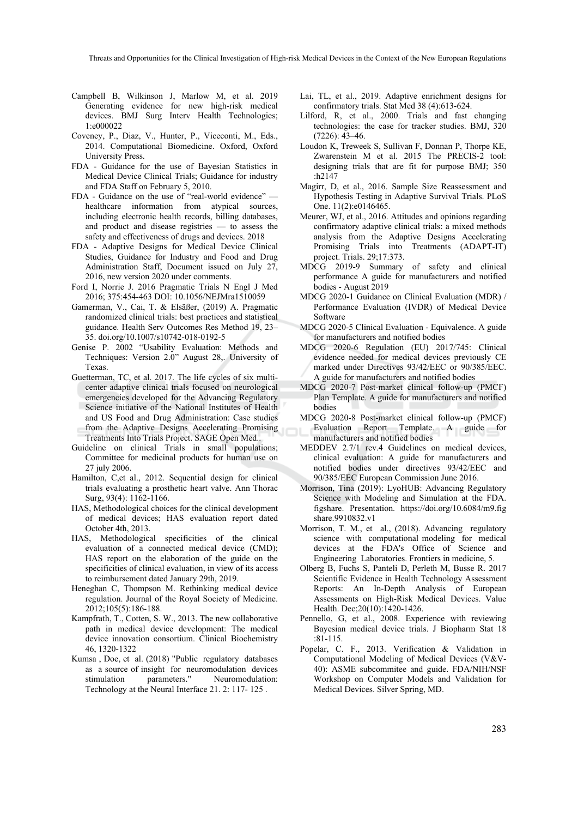Threats and Opportunities for the Clinical Investigation of High-risk Medical Devices in the Context of the New European Regulations

- Campbell B, Wilkinson J, Marlow M, et al. 2019 Generating evidence for new high-risk medical devices. BMJ Surg Interv Health Technologies; 1:e000022
- Coveney, P., Diaz, V., Hunter, P., Viceconti, M., Eds., 2014. Computational Biomedicine. Oxford, Oxford University Press.
- FDA Guidance for the use of Bayesian Statistics in Medical Device Clinical Trials; Guidance for industry and FDA Staff on February 5, 2010.
- FDA Guidance on the use of "real-world evidence" healthcare information from atypical sources, including electronic health records, billing databases, and product and disease registries — to assess the safety and effectiveness of drugs and devices. 2018
- FDA Adaptive Designs for Medical Device Clinical Studies, Guidance for Industry and Food and Drug Administration Staff, Document issued on July 27, 2016, new version 2020 under comments.
- Ford I, Norrie J. 2016 Pragmatic Trials N Engl J Med 2016; 375:454-463 DOI: 10.1056/NEJMra1510059
- Gamerman, V., Cai, T. & Elsäßer, (2019) A. Pragmatic randomized clinical trials: best practices and statistical guidance. Health Serv Outcomes Res Method 19, 23– 35. doi.org/10.1007/s10742-018-0192-5
- Genise P. 2002 "Usability Evaluation: Methods and Techniques: Version 2.0" August 28,. University of Texas.
- Guetterman, TC, et al. 2017. The life cycles of six multicenter adaptive clinical trials focused on neurological emergencies developed for the Advancing Regulatory Science initiative of the National Institutes of Health and US Food and Drug Administration: Case studies from the Adaptive Designs Accelerating Promising Treatments Into Trials Project. SAGE Open Med..
- Guideline on clinical Trials in small populations; Committee for medicinal products for human use on 27 july 2006.
- Hamilton, C,et al., 2012. Sequential design for clinical trials evaluating a prosthetic heart valve. Ann Thorac Surg, 93(4): 1162-1166.
- HAS, Methodological choices for the clinical development of medical devices; HAS evaluation report dated October 4th, 2013.
- HAS, Methodological specificities of the clinical evaluation of a connected medical device (CMD); HAS report on the elaboration of the guide on the specificities of clinical evaluation, in view of its access to reimbursement dated January 29th, 2019.
- Heneghan C, Thompson M. Rethinking medical device regulation. Journal of the Royal Society of Medicine. 2012;105(5):186-188.
- Kampfrath, T., Cotten, S. W., 2013. The new collaborative path in medical device development: The medical device innovation consortium. Clinical Biochemistry 46, 1320-1322
- Kumsa , Doe, et al. (2018) "Public regulatory databases as a source of insight for neuromodulation devices stimulation parameters." Neuromodulation: Technology at the Neural Interface 21. 2: 117- 125 .
- Lai, TL, et al., 2019. Adaptive enrichment designs for confirmatory trials. Stat Med 38 (4):613-624.
- Lilford, R, et al., 2000. Trials and fast changing technologies: the case for tracker studies. BMJ, 320 (7226): 43–46.
- Loudon K, Treweek S, Sullivan F, Donnan P, Thorpe KE, Zwarenstein M et al. 2015 The PRECIS-2 tool: designing trials that are fit for purpose BMJ; 350 :h2147
- Magirr, D, et al., 2016. Sample Size Reassessment and Hypothesis Testing in Adaptive Survival Trials. PLoS One. 11(2):e0146465.
- Meurer, WJ, et al., 2016. Attitudes and opinions regarding confirmatory adaptive clinical trials: a mixed methods analysis from the Adaptive Designs Accelerating Promising Trials into Treatments (ADAPT-IT) project. Trials. 29;17:373.
- MDCG 2019-9 Summary of safety and clinical performance A guide for manufacturers and notified bodies - August 2019
- MDCG 2020-1 Guidance on Clinical Evaluation (MDR) / Performance Evaluation (IVDR) of Medical Device Software
- MDCG 2020-5 Clinical Evaluation Equivalence. A guide for manufacturers and notified bodies
- MDCG 2020-6 Regulation (EU) 2017/745: Clinical evidence needed for medical devices previously CE marked under Directives 93/42/EEC or 90/385/EEC. A guide for manufacturers and notified bodies
- MDCG 2020-7 Post-market clinical follow-up (PMCF) Plan Template. A guide for manufacturers and notified bodies
- MDCG 2020-8 Post-market clinical follow-up (PMCF) Evaluation Report Template. A guide for manufacturers and notified bodies
- MEDDEV 2.7/1 rev.4 Guidelines on medical devices, clinical evaluation: A guide for manufacturers and notified bodies under directives 93/42/EEC and 90/385/EEC European Commission June 2016.
- Morrison, Tina (2019): LyoHUB: Advancing Regulatory Science with Modeling and Simulation at the FDA. figshare. Presentation. https://doi.org/10.6084/m9.fig share.9910832.v1
- Morrison, T. M., et al., (2018). Advancing regulatory science with computational modeling for medical devices at the FDA's Office of Science and Engineering Laboratories. Frontiers in medicine, 5.
- Olberg B, Fuchs S, Panteli D, Perleth M, Busse R. 2017 Scientific Evidence in Health Technology Assessment Reports: An In-Depth Analysis of European Assessments on High-Risk Medical Devices. Value Health. Dec;20(10):1420-1426.
- Pennello, G, et al., 2008. Experience with reviewing Bayesian medical device trials. J Biopharm Stat 18 :81-115.
- Popelar, C. F., 2013. Verification & Validation in Computational Modeling of Medical Devices (V&V-40): ASME subcommitee and guide. FDA/NIH/NSF Workshop on Computer Models and Validation for Medical Devices. Silver Spring, MD.